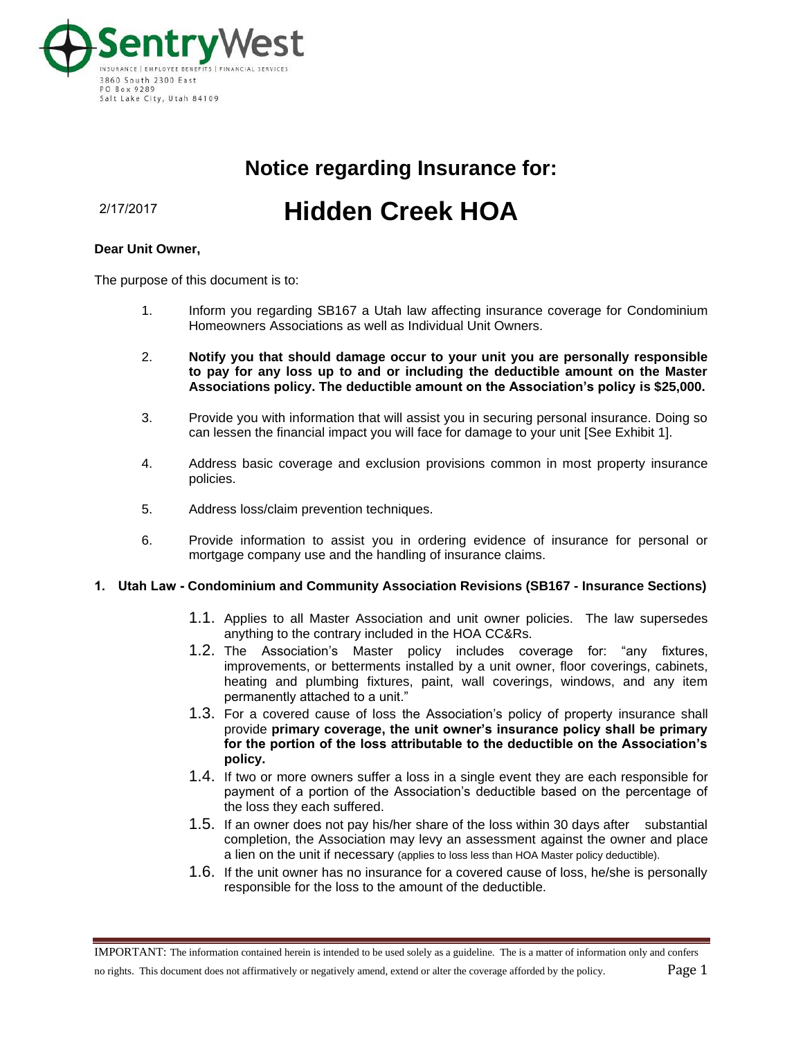

# **Notice regarding Insurance for:**

2/17/2017

# **Hidden Creek HOA**

#### **Dear Unit Owner,**

The purpose of this document is to:

- 1. Inform you regarding SB167 a Utah law affecting insurance coverage for Condominium Homeowners Associations as well as Individual Unit Owners.
- 2. **Notify you that should damage occur to your unit you are personally responsible to pay for any loss up to and or including the deductible amount on the Master Associations policy. The deductible amount on the Association's policy is \$25,000.**
- 3. Provide you with information that will assist you in securing personal insurance. Doing so can lessen the financial impact you will face for damage to your unit [See Exhibit 1].
- 4. Address basic coverage and exclusion provisions common in most property insurance policies.
- 5. Address loss/claim prevention techniques.
- 6. Provide information to assist you in ordering evidence of insurance for personal or mortgage company use and the handling of insurance claims.

#### **1. Utah Law - Condominium and Community Association Revisions (SB167 - Insurance Sections)**

- 1.1. Applies to all Master Association and unit owner policies. The law supersedes anything to the contrary included in the HOA CC&Rs.
- 1.2. The Association's Master policy includes coverage for: "any fixtures, improvements, or betterments installed by a unit owner, floor coverings, cabinets, heating and plumbing fixtures, paint, wall coverings, windows, and any item permanently attached to a unit."
- 1.3. For a covered cause of loss the Association's policy of property insurance shall provide **primary coverage, the unit owner's insurance policy shall be primary for the portion of the loss attributable to the deductible on the Association's policy.**
- 1.4. If two or more owners suffer a loss in a single event they are each responsible for payment of a portion of the Association's deductible based on the percentage of the loss they each suffered.
- 1.5. If an owner does not pay his/her share of the loss within 30 days after substantial completion, the Association may levy an assessment against the owner and place a lien on the unit if necessary (applies to loss less than HOA Master policy deductible).
- 1.6. If the unit owner has no insurance for a covered cause of loss, he/she is personally responsible for the loss to the amount of the deductible.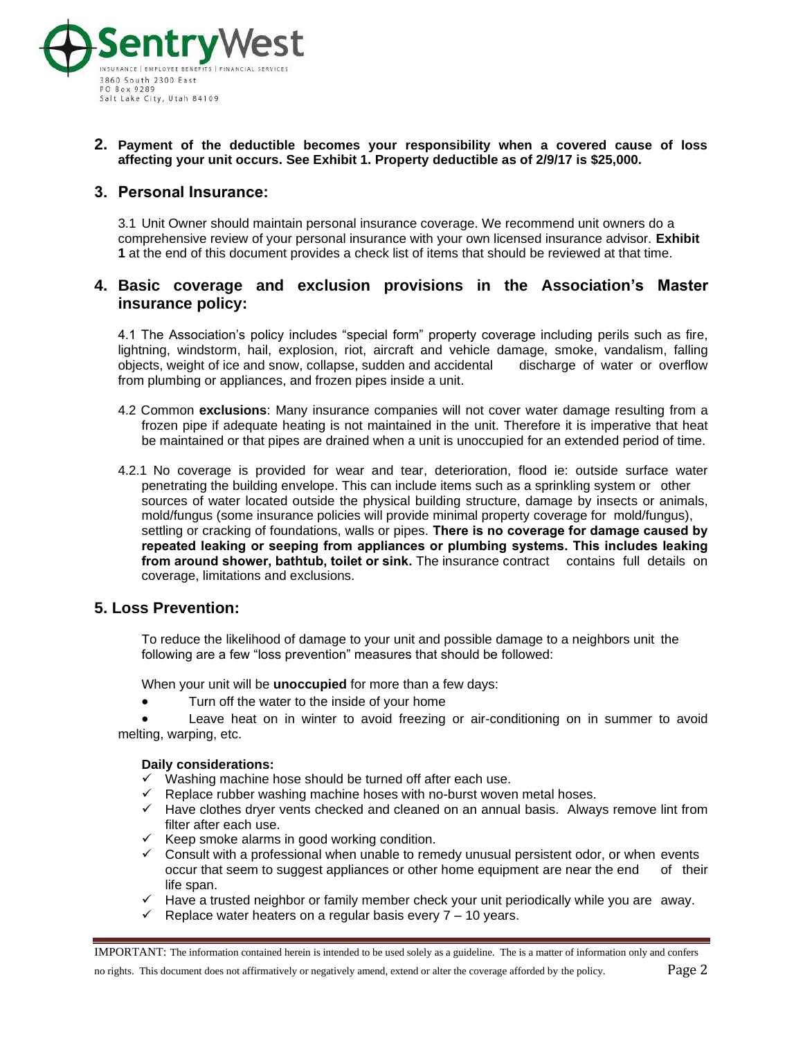

## **2. Payment of the deductible becomes your responsibility when a covered cause of loss affecting your unit occurs. See Exhibit 1. Property deductible as of 2/9/17 is \$25,000.**

# **3. Personal Insurance:**

3.1 Unit Owner should maintain personal insurance coverage. We recommend unit owners do a comprehensive review of your personal insurance with your own licensed insurance advisor. **Exhibit 1** at the end of this document provides a check list of items that should be reviewed at that time.

# **4. Basic coverage and exclusion provisions in the Association's Master insurance policy:**

4.1 The Association's policy includes "special form" property coverage including perils such as fire, lightning, windstorm, hail, explosion, riot, aircraft and vehicle damage, smoke, vandalism, falling objects, weight of ice and snow, collapse, sudden and accidental discharge of water or overflow from plumbing or appliances, and frozen pipes inside a unit.

- 4.2 Common **exclusions**: Many insurance companies will not cover water damage resulting from a frozen pipe if adequate heating is not maintained in the unit. Therefore it is imperative that heat be maintained or that pipes are drained when a unit is unoccupied for an extended period of time.
- 4.2.1 No coverage is provided for wear and tear, deterioration, flood ie: outside surface water penetrating the building envelope. This can include items such as a sprinkling system or other sources of water located outside the physical building structure, damage by insects or animals, mold/fungus (some insurance policies will provide minimal property coverage for mold/fungus), settling or cracking of foundations, walls or pipes. **There is no coverage for damage caused by repeated leaking or seeping from appliances or plumbing systems. This includes leaking from around shower, bathtub, toilet or sink.** The insurance contract contains full details on coverage, limitations and exclusions.

# **5. Loss Prevention:**

To reduce the likelihood of damage to your unit and possible damage to a neighbors unit the following are a few "loss prevention" measures that should be followed:

When your unit will be **unoccupied** for more than a few days:

• Turn off the water to the inside of your home

Leave heat on in winter to avoid freezing or air-conditioning on in summer to avoid melting, warping, etc.

#### **Daily considerations:**

- ✓ Washing machine hose should be turned off after each use.
- ✓ Replace rubber washing machine hoses with no-burst woven metal hoses.
- ✓ Have clothes dryer vents checked and cleaned on an annual basis. Always remove lint from filter after each use.
- $\checkmark$  Keep smoke alarms in good working condition.
- $\checkmark$  Consult with a professional when unable to remedy unusual persistent odor, or when events occur that seem to suggest appliances or other home equipment are near the end of their life span.
- $\checkmark$  Have a trusted neighbor or family member check your unit periodically while you are away.
- $\checkmark$  Replace water heaters on a regular basis every  $7 10$  years.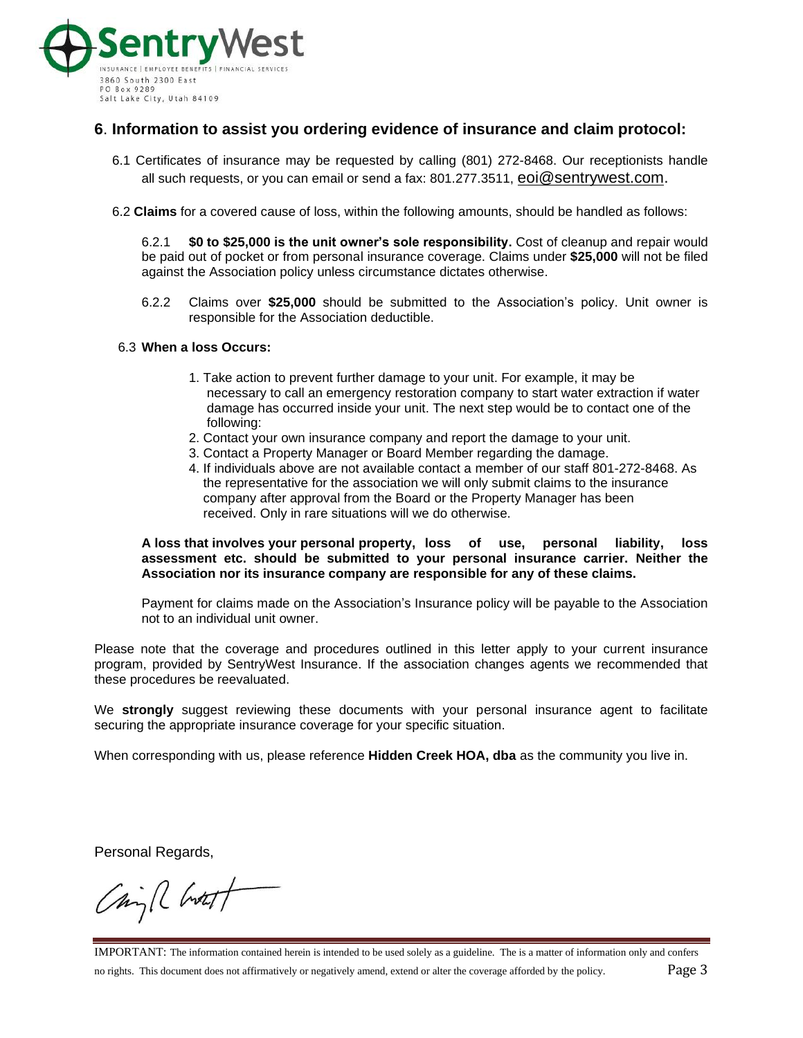

# **6**. **Information to assist you ordering evidence of insurance and claim protocol:**

- 6.1 Certificates of insurance may be requested by calling (801) 272-8468. Our receptionists handle all such requests, or you can email or send a fax: 801.277.3511, eoi@sentrywest.com.
- 6.2 **Claims** for a covered cause of loss, within the following amounts, should be handled as follows:

6.2.1 **\$0 to \$25,000 is the unit owner's sole responsibility.** Cost of cleanup and repair would be paid out of pocket or from personal insurance coverage. Claims under **\$25,000** will not be filed against the Association policy unless circumstance dictates otherwise.

6.2.2 Claims over **\$25,000** should be submitted to the Association's policy. Unit owner is responsible for the Association deductible.

## 6.3 **When a loss Occurs:**

- 1. Take action to prevent further damage to your unit. For example, it may be necessary to call an emergency restoration company to start water extraction if water damage has occurred inside your unit. The next step would be to contact one of the following:
- 2. Contact your own insurance company and report the damage to your unit.
- 3. Contact a Property Manager or Board Member regarding the damage.
- 4. If individuals above are not available contact a member of our staff 801-272-8468. As the representative for the association we will only submit claims to the insurance company after approval from the Board or the Property Manager has been received. Only in rare situations will we do otherwise.

#### **A loss that involves your personal property, loss of use, personal liability, loss assessment etc. should be submitted to your personal insurance carrier. Neither the Association nor its insurance company are responsible for any of these claims.**

Payment for claims made on the Association's Insurance policy will be payable to the Association not to an individual unit owner.

Please note that the coverage and procedures outlined in this letter apply to your current insurance program, provided by SentryWest Insurance. If the association changes agents we recommended that these procedures be reevaluated.

We **strongly** suggest reviewing these documents with your personal insurance agent to facilitate securing the appropriate insurance coverage for your specific situation.

When corresponding with us, please reference **Hidden Creek HOA, dba** as the community you live in.

Personal Regards,

China Chotet

IMPORTANT: The information contained herein is intended to be used solely as a guideline. The is a matter of information only and confers no rights. This document does not affirmatively or negatively amend, extend or alter the coverage afforded by the policy. Page 3